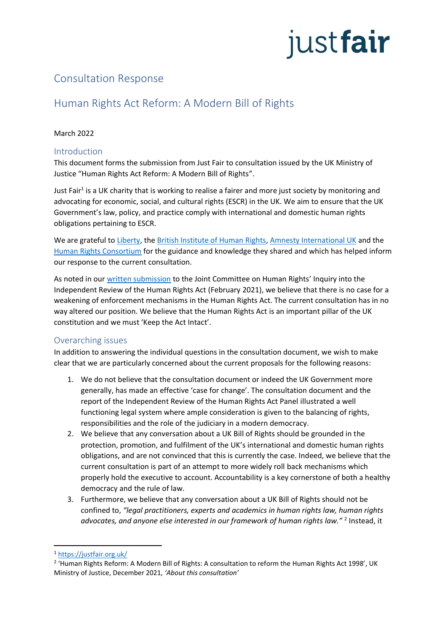# justfair

# Consultation Response

# Human Rights Act Reform: A Modern Bill of Rights

#### March 2022

#### Introduction

This document forms the submission from Just Fair to consultation issued by the UK Ministry of Justice "Human Rights Act Reform: A Modern Bill of Rights".

Just Fair<sup>1</sup> is a UK charity that is working to realise a fairer and more just society by monitoring and advocating for economic, social, and cultural rights (ESCR) in the UK. We aim to ensure that the UK Government's law, policy, and practice comply with international and domestic human rights obligations pertaining to ESCR.

We are grateful to [Liberty,](https://www.libertyhumanrights.org.uk/) the [British Institute of Human Rights,](https://www.bihr.org.uk/) [Amnesty International UK](https://www.amnesty.org.uk/) and the [Human Rights Consortium](http://www.humanrightsconsortium.org/wp-content/uploads/2020/11/ESR-in-NI-Models-of-Enforceability-Report.pdf) for the guidance and knowledge they shared and which has helped inform our response to the current consultation.

As noted in our [written submission](https://justfair.org.uk/wp-content/uploads/2021/02/JCHRHRAEvidence.pdf) to the Joint Committee on Human Rights' Inquiry into the Independent Review of the Human Rights Act (February 2021), we believe that there is no case for a weakening of enforcement mechanisms in the Human Rights Act. The current consultation has in no way altered our position. We believe that the Human Rights Act is an important pillar of the UK constitution and we must 'Keep the Act Intact'.

# Overarching issues

In addition to answering the individual questions in the consultation document, we wish to make clear that we are particularly concerned about the current proposals for the following reasons:

- 1. We do not believe that the consultation document or indeed the UK Government more generally, has made an effective 'case for change'. The consultation document and the report of the Independent Review of the Human Rights Act Panel illustrated a well functioning legal system where ample consideration is given to the balancing of rights, responsibilities and the role of the judiciary in a modern democracy.
- 2. We believe that any conversation about a UK Bill of Rights should be grounded in the protection, promotion, and fulfilment of the UK's international and domestic human rights obligations, and are not convinced that this is currently the case. Indeed, we believe that the current consultation is part of an attempt to more widely roll back mechanisms which properly hold the executive to account. Accountability is a key cornerstone of both a healthy democracy and the rule of law.
- 3. Furthermore, we believe that any conversation about a UK Bill of Rights should not be confined to, *"legal practitioners, experts and academics in human rights law, human rights advocates, and anyone else interested in our framework of human rights law."* <sup>2</sup> Instead, it

<sup>1</sup> <https://justfair.org.uk/>

<sup>&</sup>lt;sup>2</sup> 'Human Rights Reform: A Modern Bill of Rights: A consultation to reform the Human Rights Act 1998', UK Ministry of Justice, December 2021, *'About this consultation'*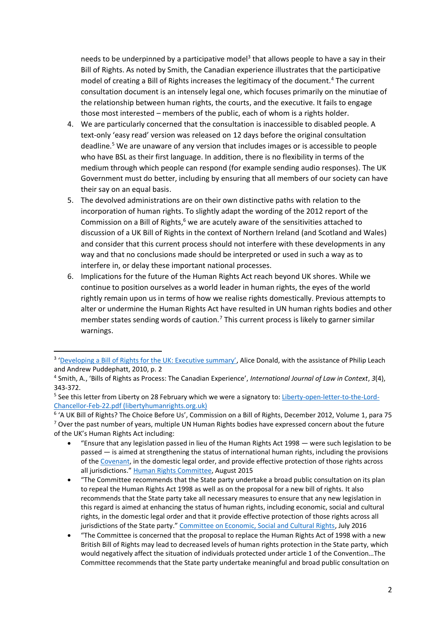needs to be underpinned by a participative model<sup>3</sup> that allows people to have a say in their Bill of Rights. As noted by Smith, the Canadian experience illustrates that the participative model of creating a Bill of Rights increases the legitimacy of the document.<sup>4</sup> The current consultation document is an intensely legal one, which focuses primarily on the minutiae of the relationship between human rights, the courts, and the executive. It fails to engage those most interested – members of the public, each of whom is a rights holder.

- 4. We are particularly concerned that the consultation is inaccessible to disabled people. A text-only 'easy read' version was released on 12 days before the original consultation deadline.<sup>5</sup> We are unaware of any version that includes images or is accessible to people who have BSL as their first language. In addition, there is no flexibility in terms of the medium through which people can respond (for example sending audio responses). The UK Government must do better, including by ensuring that all members of our society can have their say on an equal basis.
- 5. The devolved administrations are on their own distinctive paths with relation to the incorporation of human rights. To slightly adapt the wording of the 2012 report of the Commission on a Bill of Rights, $6$  we are acutely aware of the sensitivities attached to discussion of a UK Bill of Rights in the context of Northern Ireland (and Scotland and Wales) and consider that this current process should not interfere with these developments in any way and that no conclusions made should be interpreted or used in such a way as to interfere in, or delay these important national processes.
- 6. Implications for the future of the Human Rights Act reach beyond UK shores. While we continue to position ourselves as a world leader in human rights, the eyes of the world rightly remain upon us in terms of how we realise rights domestically. Previous attempts to alter or undermine the Human Rights Act have resulted in UN human rights bodies and other member states sending words of caution.<sup>7</sup> This current process is likely to garner similar warnings.

- "Ensure that any legislation passed in lieu of the Human Rights Act 1998 were such legislation to be passed — is aimed at strengthening the status of international human rights, including the provisions of the [Covenant,](https://www.ohchr.org/en/professionalinterest/pages/ccpr.aspx) in the domestic legal order, and provide effective protection of those rights across all jurisdictions." [Human Rights Committee,](https://www.ohchr.org/en/hrbodies/ccpr/pages/ccprindex.aspx) August 2015
- "The Committee recommends that the State party undertake a broad public consultation on its plan to repeal the Human Rights Act 1998 as well as on the proposal for a new bill of rights. It also recommends that the State party take all necessary measures to ensure that any new legislation in this regard is aimed at enhancing the status of human rights, including economic, social and cultural rights, in the domestic legal order and that it provide effective protection of those rights across all jurisdictions of the State party." [Committee on Economic, Social and Cultural Rights,](https://www.ohchr.org/en/hrbodies/cescr/pages/cescrindex.aspx) July 2016
- "The Committee is concerned that the proposal to replace the Human Rights Act of 1998 with a new British Bill of Rights may lead to decreased levels of human rights protection in the State party, which would negatively affect the situation of individuals protected under article 1 of the Convention…The Committee recommends that the State party undertake meaningful and broad public consultation on

<sup>&</sup>lt;sup>3</sup> ['Developing a Bill of Rights for the UK: Executive summary'](https://www.equalityhumanrights.com/sites/default/files/research-report-51-developing-a-bill-of-rights-summary.pdf), Alice Donald, with the assistance of Philip Leach and Andrew Puddephatt, 2010, p. 2

<sup>4</sup> Smith, A., 'Bills of Rights as Process: The Canadian Experience', *International Journal of Law in Context*, *3*(4), 343-372.

<sup>&</sup>lt;sup>5</sup> See this letter from Liberty on 28 February which we were a signatory to[: Liberty-open-letter-to-the-Lord-](https://www.libertyhumanrights.org.uk/wp-content/uploads/2022/03/Liberty-open-letter-to-the-Lord-Chancellor-Feb-22.pdf)[Chancellor-Feb-22.pdf \(libertyhumanrights.org.uk\)](https://www.libertyhumanrights.org.uk/wp-content/uploads/2022/03/Liberty-open-letter-to-the-Lord-Chancellor-Feb-22.pdf)

<sup>6</sup> 'A UK Bill of Rights? The Choice Before Us', Commission on a Bill of Rights, December 2012, Volume 1, para 75  $7$  Over the past number of years, multiple UN Human Rights bodies have expressed concern about the future of the UK's Human Rights Act including: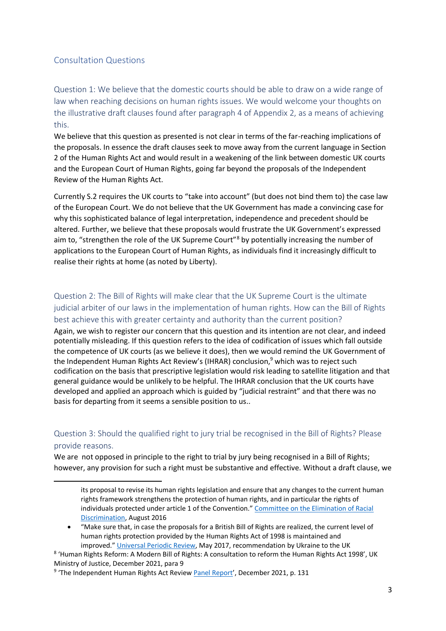#### Consultation Questions

Question 1: We believe that the domestic courts should be able to draw on a wide range of law when reaching decisions on human rights issues. We would welcome your thoughts on the illustrative draft clauses found after paragraph 4 of Appendix 2, as a means of achieving this.

We believe that this question as presented is not clear in terms of the far-reaching implications of the proposals. In essence the draft clauses seek to move away from the current language in Section 2 of the Human Rights Act and would result in a weakening of the link between domestic UK courts and the European Court of Human Rights, going far beyond the proposals of the Independent Review of the Human Rights Act.

Currently S.2 requires the UK courts to "take into account" (but does not bind them to) the case law of the European Court. We do not believe that the UK Government has made a convincing case for why this sophisticated balance of legal interpretation, independence and precedent should be altered. Further, we believe that these proposals would frustrate the UK Government's expressed aim to, "strengthen the role of the UK Supreme Court"<sup>8</sup> by potentially increasing the number of applications to the European Court of Human Rights, as individuals find it increasingly difficult to realise their rights at home (as noted by Liberty).

#### Question 2: The Bill of Rights will make clear that the UK Supreme Court is the ultimate judicial arbiter of our laws in the implementation of human rights. How can the Bill of Rights best achieve this with greater certainty and authority than the current position?

Again, we wish to register our concern that this question and its intention are not clear, and indeed potentially misleading. If this question refers to the idea of codification of issues which fall outside the competence of UK courts (as we believe it does), then we would remind the UK Government of the Independent Human Rights Act Review's (IHRAR) conclusion, $9$  which was to reject such codification on the basis that prescriptive legislation would risk leading to satellite litigation and that general guidance would be unlikely to be helpful. The IHRAR conclusion that the UK courts have developed and applied an approach which is guided by "judicial restraint" and that there was no basis for departing from it seems a sensible position to us..

#### Question 3: Should the qualified right to jury trial be recognised in the Bill of Rights? Please provide reasons.

We are not opposed in principle to the right to trial by jury being recognised in a Bill of Rights; however, any provision for such a right must be substantive and effective. Without a draft clause, we

its proposal to revise its human rights legislation and ensure that any changes to the current human rights framework strengthens the protection of human rights, and in particular the rights of individuals protected under article 1 of the Convention." [Committee on the Elimination of Racial](https://www.ohchr.org/en/hrbodies/cerd/pages/cerdindex.aspx)  [Discrimination,](https://www.ohchr.org/en/hrbodies/cerd/pages/cerdindex.aspx) August 2016

<sup>•</sup> "Make sure that, in case the proposals for a British Bill of Rights are realized, the current level of human rights protection provided by the Human Rights Act of 1998 is maintained and improved." [Universal Periodic Review,](https://www.ohchr.org/en/hrbodies/upr/pages/uprmain.aspx) May 2017, recommendation by Ukraine to the UK

<sup>8</sup> 'Human Rights Reform: A Modern Bill of Rights: A consultation to reform the Human Rights Act 1998', UK Ministry of Justice, December 2021, para 9

<sup>&</sup>lt;sup>9</sup> 'The Independent Human Rights Act Review *[Panel Report](https://assets.publishing.service.gov.uk/government/uploads/system/uploads/attachment_data/file/1040525/ihrar-final-report.pdf)'*, December 2021, p. 131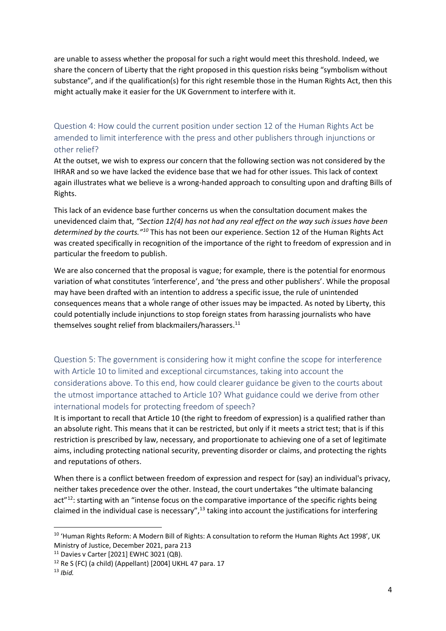are unable to assess whether the proposal for such a right would meet this threshold. Indeed, we share the concern of Liberty that the right proposed in this question risks being "symbolism without substance", and if the qualification(s) for this right resemble those in the Human Rights Act, then this might actually make it easier for the UK Government to interfere with it.

# Question 4: How could the current position under section 12 of the Human Rights Act be amended to limit interference with the press and other publishers through injunctions or other relief?

At the outset, we wish to express our concern that the following section was not considered by the IHRAR and so we have lacked the evidence base that we had for other issues. This lack of context again illustrates what we believe is a wrong-handed approach to consulting upon and drafting Bills of Rights.

This lack of an evidence base further concerns us when the consultation document makes the unevidenced claim that, *"Section 12(4) has not had any real effect on the way such issues have been determined by the courts."<sup>10</sup>* This has not been our experience. Section 12 of the Human Rights Act was created specifically in recognition of the importance of the right to freedom of expression and in particular the freedom to publish.

We are also concerned that the proposal is vague; for example, there is the potential for enormous variation of what constitutes 'interference', and 'the press and other publishers'. While the proposal may have been drafted with an intention to address a specific issue, the rule of unintended consequences means that a whole range of other issues may be impacted. As noted by Liberty, this could potentially include injunctions to stop foreign states from harassing journalists who have themselves sought relief from blackmailers/harassers.<sup>11</sup>

Question 5: The government is considering how it might confine the scope for interference with Article 10 to limited and exceptional circumstances, taking into account the considerations above. To this end, how could clearer guidance be given to the courts about the utmost importance attached to Article 10? What guidance could we derive from other international models for protecting freedom of speech?

It is important to recall that Article 10 (the right to freedom of expression) is a qualified rather than an absolute right. This means that it can be restricted, but only if it meets a strict test; that is if this restriction is prescribed by law, necessary, and proportionate to achieving one of a set of legitimate aims, including protecting national security, preventing disorder or claims, and protecting the rights and reputations of others.

When there is a conflict between freedom of expression and respect for (say) an individual's privacy, neither takes precedence over the other. Instead, the court undertakes "the ultimate balancing act"<sup>12</sup>: starting with an "intense focus on the comparative importance of the specific rights being claimed in the individual case is necessary", $^{13}$  taking into account the justifications for interfering

<sup>&</sup>lt;sup>10</sup> 'Human Rights Reform: A Modern Bill of Rights: A consultation to reform the Human Rights Act 1998', UK Ministry of Justice, December 2021, para 213

<sup>11</sup> Davies v Carter [2021] EWHC 3021 (QB).

 $12$  Re S (FC) (a child) (Appellant) [2004] UKHL 47 para. 17

<sup>13</sup> *Ibid.*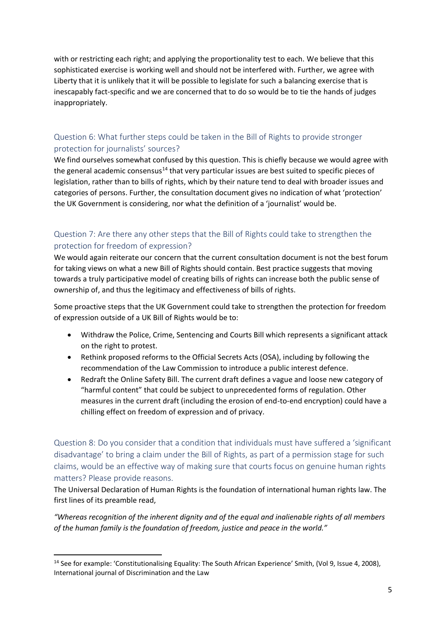with or restricting each right; and applying the proportionality test to each. We believe that this sophisticated exercise is working well and should not be interfered with. Further, we agree with Liberty that it is unlikely that it will be possible to legislate for such a balancing exercise that is inescapably fact-specific and we are concerned that to do so would be to tie the hands of judges inappropriately.

# Question 6: What further steps could be taken in the Bill of Rights to provide stronger protection for journalists' sources?

We find ourselves somewhat confused by this question. This is chiefly because we would agree with the general academic consensus $14$  that very particular issues are best suited to specific pieces of legislation, rather than to bills of rights, which by their nature tend to deal with broader issues and categories of persons. Further, the consultation document gives no indication of what 'protection' the UK Government is considering, nor what the definition of a 'journalist' would be.

#### Question 7: Are there any other steps that the Bill of Rights could take to strengthen the protection for freedom of expression?

We would again reiterate our concern that the current consultation document is not the best forum for taking views on what a new Bill of Rights should contain. Best practice suggests that moving towards a truly participative model of creating bills of rights can increase both the public sense of ownership of, and thus the legitimacy and effectiveness of bills of rights.

Some proactive steps that the UK Government could take to strengthen the protection for freedom of expression outside of a UK Bill of Rights would be to:

- Withdraw the Police, Crime, Sentencing and Courts Bill which represents a significant attack on the right to protest.
- Rethink proposed reforms to the Official Secrets Acts (OSA), including by following the recommendation of the Law Commission to introduce a public interest defence.
- Redraft the Online Safety Bill. The current draft defines a vague and loose new category of "harmful content" that could be subject to unprecedented forms of regulation. Other measures in the current draft (including the erosion of end-to-end encryption) could have a chilling effect on freedom of expression and of privacy.

Question 8: Do you consider that a condition that individuals must have suffered a 'significant disadvantage' to bring a claim under the Bill of Rights, as part of a permission stage for such claims, would be an effective way of making sure that courts focus on genuine human rights matters? Please provide reasons.

The Universal Declaration of Human Rights is the foundation of international human rights law. The first lines of its preamble read,

*"Whereas recognition of the inherent dignity and of the equal and inalienable rights of all members of the human family is the foundation of freedom, justice and peace in the world."*

<sup>&</sup>lt;sup>14</sup> See for example: 'Constitutionalising Equality: The South African Experience' Smith, (Vol 9, Issue 4, 2008), International journal of Discrimination and the Law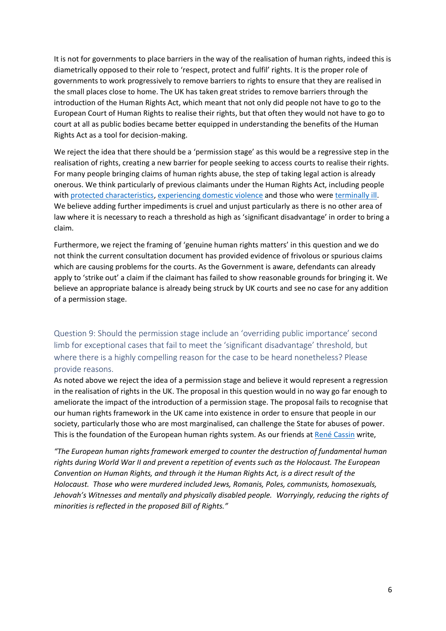It is not for governments to place barriers in the way of the realisation of human rights, indeed this is diametrically opposed to their role to 'respect, protect and fulfil' rights. It is the proper role of governments to work progressively to remove barriers to rights to ensure that they are realised in the small places close to home. The UK has taken great strides to remove barriers through the introduction of the Human Rights Act, which meant that not only did people not have to go to the European Court of Human Rights to realise their rights, but that often they would not have to go to court at all as public bodies became better equipped in understanding the benefits of the Human Rights Act as a tool for decision-making.

We reject the idea that there should be a 'permission stage' as this would be a regressive step in the realisation of rights, creating a new barrier for people seeking to access courts to realise their rights. For many people bringing claims of human rights abuse, the step of taking legal action is already onerous. We think particularly of previous claimants under the Human Rights Act, including people with [protected characteristics,](https://www.bihr.org.uk/john-and-marys-story) [experiencing domestic violence](https://www.bihr.org.uk/yolandes-story) and those who were [terminally ill.](https://www.lawcentreni.org/news/mothers-courage-and-determination-to-make-it-better-for-others-with-terminal-illness) We believe adding further impediments is cruel and unjust particularly as there is no other area of law where it is necessary to reach a threshold as high as 'significant disadvantage' in order to bring a claim.

Furthermore, we reject the framing of 'genuine human rights matters' in this question and we do not think the current consultation document has provided evidence of frivolous or spurious claims which are causing problems for the courts. As the Government is aware, defendants can already apply to 'strike out' a claim if the claimant has failed to show reasonable grounds for bringing it. We believe an appropriate balance is already being struck by UK courts and see no case for any addition of a permission stage.

Question 9: Should the permission stage include an 'overriding public importance' second limb for exceptional cases that fail to meet the 'significant disadvantage' threshold, but where there is a highly compelling reason for the case to be heard nonetheless? Please provide reasons.

As noted above we reject the idea of a permission stage and believe it would represent a regression in the realisation of rights in the UK. The proposal in this question would in no way go far enough to ameliorate the impact of the introduction of a permission stage. The proposal fails to recognise that our human rights framework in the UK came into existence in order to ensure that people in our society, particularly those who are most marginalised, can challenge the State for abuses of power. This is the foundation of the European human rights system. As our friends at [René Cassin](https://www.renecassin.org/) write,

*"The European human rights framework emerged to counter the destruction of fundamental human rights during World War II and prevent a repetition of events such as the Holocaust. The European Convention on Human Rights, and through it the Human Rights Act, is a direct result of the Holocaust. Those who were murdered included Jews, Romanis, Poles, communists, homosexuals, Jehovah's Witnesses and mentally and physically disabled people. Worryingly, reducing the rights of minorities is reflected in the proposed Bill of Rights."*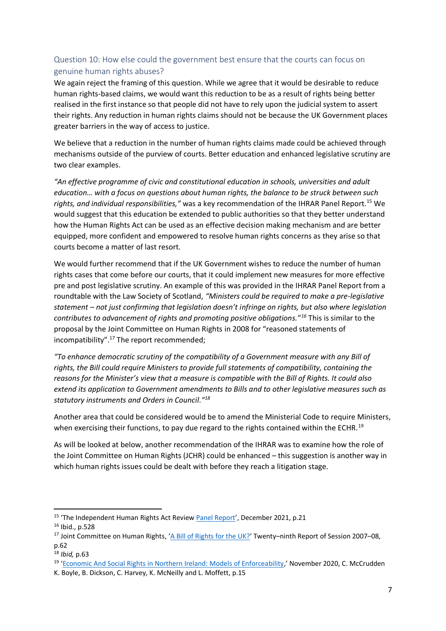#### Question 10: How else could the government best ensure that the courts can focus on genuine human rights abuses?

We again reject the framing of this question. While we agree that it would be desirable to reduce human rights-based claims, we would want this reduction to be as a result of rights being better realised in the first instance so that people did not have to rely upon the judicial system to assert their rights. Any reduction in human rights claims should not be because the UK Government places greater barriers in the way of access to justice.

We believe that a reduction in the number of human rights claims made could be achieved through mechanisms outside of the purview of courts. Better education and enhanced legislative scrutiny are two clear examples.

*"An effective programme of civic and constitutional education in schools, universities and adult education… with a focus on questions about human rights, the balance to be struck between such rights, and individual responsibilities,"* was a key recommendation of the IHRAR Panel Report.<sup>15</sup> We would suggest that this education be extended to public authorities so that they better understand how the Human Rights Act can be used as an effective decision making mechanism and are better equipped, more confident and empowered to resolve human rights concerns as they arise so that courts become a matter of last resort.

We would further recommend that if the UK Government wishes to reduce the number of human rights cases that come before our courts, that it could implement new measures for more effective pre and post legislative scrutiny. An example of this was provided in the IHRAR Panel Report from a roundtable with the Law Society of Scotland, *"Ministers could be required to make a pre-legislative statement – not just confirming that legislation doesn't infringe on rights, but also where legislation contributes to advancement of rights and promoting positive obligations."<sup>16</sup>* This is similar to the proposal by the Joint Committee on Human Rights in 2008 for "reasoned statements of incompatibility".<sup>17</sup> The report recommended;

*"To enhance democratic scrutiny of the compatibility of a Government measure with any Bill of rights, the Bill could require Ministers to provide full statements of compatibility, containing the reasons for the Minister's view that a measure is compatible with the Bill of Rights. It could also extend its application to Government amendments to Bills and to other legislative measures such as statutory instruments and Orders in Council."<sup>18</sup>*

Another area that could be considered would be to amend the Ministerial Code to require Ministers, when exercising their functions, to pay due regard to the rights contained within the ECHR.<sup>19</sup>

As will be looked at below, another recommendation of the IHRAR was to examine how the role of the Joint Committee on Human Rights (JCHR) could be enhanced – this suggestion is another way in which human rights issues could be dealt with before they reach a litigation stage.

<sup>&</sup>lt;sup>15</sup> 'The Independent Human Rights Act Review [Panel Report](https://assets.publishing.service.gov.uk/government/uploads/system/uploads/attachment_data/file/1040525/ihrar-final-report.pdf)', December 2021, p.21

<sup>16</sup> Ibid., p.528

<sup>&</sup>lt;sup>17</sup> Joint Committee on Human Rights, '[A Bill of Rights for the UK?](https://publications.parliament.uk/pa/jt200708/jtselect/jtrights/165/165i.pdf)' Twenty-ninth Report of Session 2007-08, p.62

<sup>18</sup> *Ibid,* p.63

<sup>&</sup>lt;sup>19</sup> '[Economic And Social Rights in Northern Ireland: Models of Enforceability](http://www.humanrightsconsortium.org/wp-content/uploads/2020/11/ESR-in-NI-Models-of-Enforceability-Report.pdf),' November 2020, C. McCrudden

K. Boyle, B. Dickson, C. Harvey, K. McNeilly and L. Moffett, p.15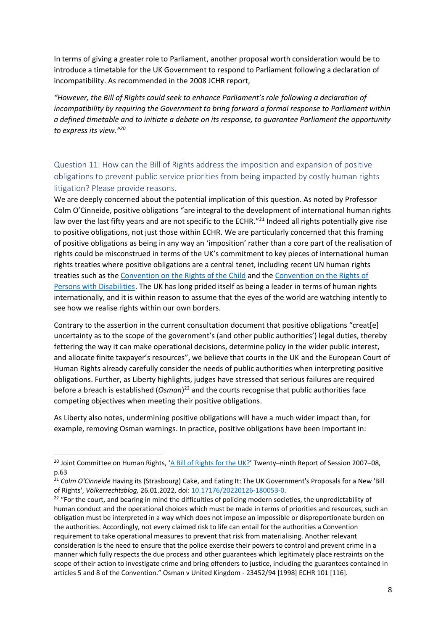In terms of giving a greater role to Parliament, another proposal worth consideration would be to introduce a timetable for the UK Government to respond to Parliament following a declaration of incompatibility. As recommended in the 2008 JCHR report,

*"However, the Bill of Rights could seek to enhance Parliament's role following a declaration of incompatibility by requiring the Government to bring forward a formal response to Parliament within a defined timetable and to initiate a debate on its response, to guarantee Parliament the opportunity to express its view." 20*

Question 11: How can the Bill of Rights address the imposition and expansion of positive obligations to prevent public service priorities from being impacted by costly human rights litigation? Please provide reasons.

We are deeply concerned about the potential implication of this question. As noted by Professor Colm O'Cinneide, positive obligations "are integral to the development of international human rights law over the last fifty years and are not specific to the ECHR."<sup>21</sup> Indeed all rights potentially give rise to positive obligations, not just those within ECHR. We are particularly concerned that this framing of positive obligations as being in any way an 'imposition' rather than a core part of the realisation of rights could be misconstrued in terms of the UK's commitment to key pieces of international human rights treaties where positive obligations are a central tenet, including recent UN human rights treaties such as the [Convention on the Rights of the Child](https://www.ohchr.org/en/professionalinterest/pages/crc.aspx) and the [Convention on the Rights of](https://www.ohchr.org/EN/HRBodies/CRPD/Pages/ConventionRightsPersonsWithDisabilities.aspx#4)  [Persons with Disabilities.](https://www.ohchr.org/EN/HRBodies/CRPD/Pages/ConventionRightsPersonsWithDisabilities.aspx#4) The UK has long prided itself as being a leader in terms of human rights internationally, and it is within reason to assume that the eyes of the world are watching intently to see how we realise rights within our own borders.

Contrary to the assertion in the current consultation document that positive obligations "creat[e] uncertainty as to the scope of the government's (and other public authorities') legal duties, thereby fettering the way it can make operational decisions, determine policy in the wider public interest, and allocate finite taxpayer's resources", we believe that courts in the UK and the European Court of Human Rights already carefully consider the needs of public authorities when interpreting positive obligations. Further, as Liberty highlights, judges have stressed that serious failures are required before a breach is established (Osman)<sup>22</sup> and the courts recognise that public authorities face competing objectives when meeting their positive obligations.

As Liberty also notes, undermining positive obligations will have a much wider impact than, for example, removing Osman warnings. In practice, positive obligations have been important in:

<sup>&</sup>lt;sup>20</sup> Joint Committee on Human Rights, '[A Bill of Rights for the UK?](https://publications.parliament.uk/pa/jt200708/jtselect/jtrights/165/165i.pdf)' Twenty–ninth Report of Session 2007–08, p.63

<sup>&</sup>lt;sup>21</sup> Colm O'Cinneide Having its (Strasbourg) Cake, and Eating It: The UK Government's Proposals for a New 'Bill of Rights', *Völkerrechtsblog,* 26.01.2022, doi: [10.17176/20220126-180053-0.](https://doi.org/10.17176/20220126-180053-0)

<sup>&</sup>lt;sup>22</sup> "For the court, and bearing in mind the difficulties of policing modern societies, the unpredictability of human conduct and the operational choices which must be made in terms of priorities and resources, such an obligation must be interpreted in a way which does not impose an impossible or disproportionate burden on the authorities. Accordingly, not every claimed risk to life can entail for the authorities a Convention requirement to take operational measures to prevent that risk from materialising. Another relevant consideration is the need to ensure that the police exercise their powers to control and prevent crime in a manner which fully respects the due process and other guarantees which legitimately place restraints on the scope of their action to investigate crime and bring offenders to justice, including the guarantees contained in articles 5 and 8 of the Convention." Osman v United Kingdom - 23452/94 [1998] ECHR 101 [116].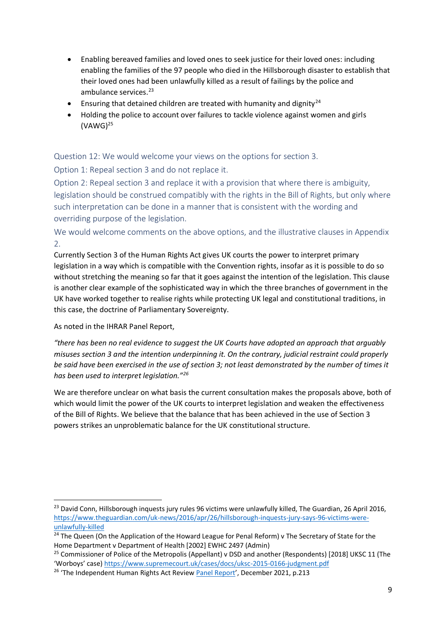- Enabling bereaved families and loved ones to seek justice for their loved ones: including enabling the families of the 97 people who died in the Hillsborough disaster to establish that their loved ones had been unlawfully killed as a result of failings by the police and ambulance services.<sup>23</sup>
- **•** Ensuring that detained children are treated with humanity and dignity<sup>24</sup>
- Holding the police to account over failures to tackle violence against women and girls  $(VAWG)^{25}$

Question 12: We would welcome your views on the options for section 3.

Option 1: Repeal section 3 and do not replace it.

Option 2: Repeal section 3 and replace it with a provision that where there is ambiguity, legislation should be construed compatibly with the rights in the Bill of Rights, but only where such interpretation can be done in a manner that is consistent with the wording and overriding purpose of the legislation.

We would welcome comments on the above options, and the illustrative clauses in Appendix 2.

Currently Section 3 of the Human Rights Act gives UK courts the power to interpret primary legislation in a way which is compatible with the Convention rights, insofar as it is possible to do so without stretching the meaning so far that it goes against the intention of the legislation. This clause is another clear example of the sophisticated way in which the three branches of government in the UK have worked together to realise rights while protecting UK legal and constitutional traditions, in this case, the doctrine of Parliamentary Sovereignty.

As noted in the IHRAR Panel Report,

*"there has been no real evidence to suggest the UK Courts have adopted an approach that arguably misuses section 3 and the intention underpinning it. On the contrary, judicial restraint could properly be said have been exercised in the use of section 3; not least demonstrated by the number of times it has been used to interpret legislation."<sup>26</sup>* 

We are therefore unclear on what basis the current consultation makes the proposals above, both of which would limit the power of the UK courts to interpret legislation and weaken the effectiveness of the Bill of Rights. We believe that the balance that has been achieved in the use of Section 3 powers strikes an unproblematic balance for the UK constitutional structure.

<sup>&</sup>lt;sup>23</sup> David Conn, Hillsborough inquests jury rules 96 victims were unlawfully killed, The Guardian, 26 April 2016, [https://www.theguardian.com/uk-news/2016/apr/26/hillsborough-inquests-jury-says-96-victims-were](https://www.theguardian.com/uk-news/2016/apr/26/hillsborough-inquests-jury-says-96-victims-were-unlawfully-killed)[unlawfully-killed](https://www.theguardian.com/uk-news/2016/apr/26/hillsborough-inquests-jury-says-96-victims-were-unlawfully-killed)

<sup>&</sup>lt;sup>24</sup> The Queen (On the Application of the Howard League for Penal Reform) v The Secretary of State for the Home Department v Department of Health [2002] EWHC 2497 (Admin)

<sup>&</sup>lt;sup>25</sup> Commissioner of Police of the Metropolis (Appellant) v DSD and another (Respondents) [2018] UKSC 11 (The 'Worboys' case) <https://www.supremecourt.uk/cases/docs/uksc-2015-0166-judgment.pdf>

<sup>&</sup>lt;sup>26</sup> 'The Independent Human Rights Act Review *[Panel Report](https://assets.publishing.service.gov.uk/government/uploads/system/uploads/attachment_data/file/1040525/ihrar-final-report.pdf)'*, December 2021, p.213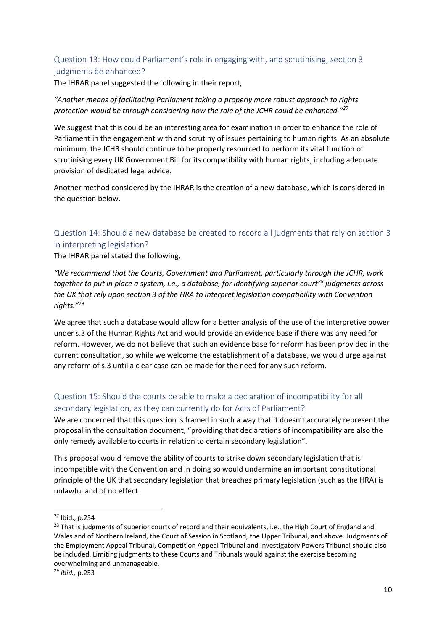#### Question 13: How could Parliament's role in engaging with, and scrutinising, section 3 judgments be enhanced?

The IHRAR panel suggested the following in their report,

#### *"Another means of facilitating Parliament taking a properly more robust approach to rights protection would be through considering how the role of the JCHR could be enhanced."<sup>27</sup>*

We suggest that this could be an interesting area for examination in order to enhance the role of Parliament in the engagement with and scrutiny of issues pertaining to human rights. As an absolute minimum, the JCHR should continue to be properly resourced to perform its vital function of scrutinising every UK Government Bill for its compatibility with human rights, including adequate provision of dedicated legal advice.

Another method considered by the IHRAR is the creation of a new database, which is considered in the question below.

# Question 14: Should a new database be created to record all judgments that rely on section 3 in interpreting legislation?

The IHRAR panel stated the following,

*"We recommend that the Courts, Government and Parliament, particularly through the JCHR, work together to put in place a system, i.e., a database, for identifying superior court<sup>28</sup> judgments across the UK that rely upon section 3 of the HRA to interpret legislation compatibility with Convention rights."<sup>29</sup>*

We agree that such a database would allow for a better analysis of the use of the interpretive power under s.3 of the Human Rights Act and would provide an evidence base if there was any need for reform. However, we do not believe that such an evidence base for reform has been provided in the current consultation, so while we welcome the establishment of a database, we would urge against any reform of s.3 until a clear case can be made for the need for any such reform.

# Question 15: Should the courts be able to make a declaration of incompatibility for all secondary legislation, as they can currently do for Acts of Parliament?

We are concerned that this question is framed in such a way that it doesn't accurately represent the proposal in the consultation document, "providing that declarations of incompatibility are also the only remedy available to courts in relation to certain secondary legislation".

This proposal would remove the ability of courts to strike down secondary legislation that is incompatible with the Convention and in doing so would undermine an important constitutional principle of the UK that secondary legislation that breaches primary legislation (such as the HRA) is unlawful and of no effect.

<sup>27</sup> Ibid., p.254

<sup>&</sup>lt;sup>28</sup> That is judgments of superior courts of record and their equivalents, i.e., the High Court of England and Wales and of Northern Ireland, the Court of Session in Scotland, the Upper Tribunal, and above. Judgments of the Employment Appeal Tribunal, Competition Appeal Tribunal and Investigatory Powers Tribunal should also be included. Limiting judgments to these Courts and Tribunals would against the exercise becoming overwhelming and unmanageable.

<sup>29</sup> *Ibid.,* p.253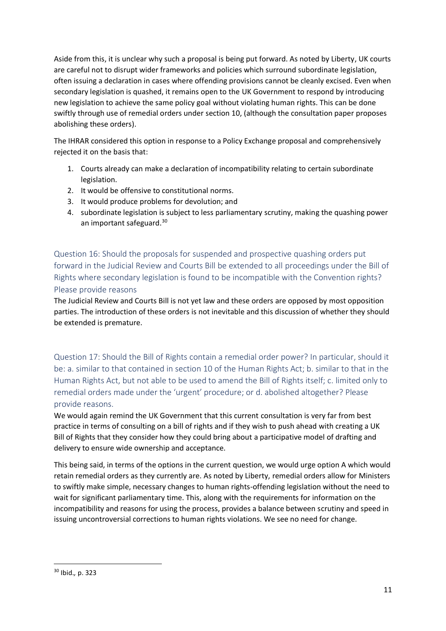Aside from this, it is unclear why such a proposal is being put forward. As noted by Liberty, UK courts are careful not to disrupt wider frameworks and policies which surround subordinate legislation, often issuing a declaration in cases where offending provisions cannot be cleanly excised. Even when secondary legislation is quashed, it remains open to the UK Government to respond by introducing new legislation to achieve the same policy goal without violating human rights. This can be done swiftly through use of remedial orders under section 10, (although the consultation paper proposes abolishing these orders).

The IHRAR considered this option in response to a Policy Exchange proposal and comprehensively rejected it on the basis that:

- 1. Courts already can make a declaration of incompatibility relating to certain subordinate legislation.
- 2. It would be offensive to constitutional norms.
- 3. It would produce problems for devolution; and
- 4. subordinate legislation is subject to less parliamentary scrutiny, making the quashing power an important safeguard.<sup>30</sup>

Question 16: Should the proposals for suspended and prospective quashing orders put forward in the Judicial Review and Courts Bill be extended to all proceedings under the Bill of Rights where secondary legislation is found to be incompatible with the Convention rights? Please provide reasons

The Judicial Review and Courts Bill is not yet law and these orders are opposed by most opposition parties. The introduction of these orders is not inevitable and this discussion of whether they should be extended is premature.

Question 17: Should the Bill of Rights contain a remedial order power? In particular, should it be: a. similar to that contained in section 10 of the Human Rights Act; b. similar to that in the Human Rights Act, but not able to be used to amend the Bill of Rights itself; c. limited only to remedial orders made under the 'urgent' procedure; or d. abolished altogether? Please provide reasons.

We would again remind the UK Government that this current consultation is very far from best practice in terms of consulting on a bill of rights and if they wish to push ahead with creating a UK Bill of Rights that they consider how they could bring about a participative model of drafting and delivery to ensure wide ownership and acceptance.

This being said, in terms of the options in the current question, we would urge option A which would retain remedial orders as they currently are. As noted by Liberty, remedial orders allow for Ministers to swiftly make simple, necessary changes to human rights-offending legislation without the need to wait for significant parliamentary time. This, along with the requirements for information on the incompatibility and reasons for using the process, provides a balance between scrutiny and speed in issuing uncontroversial corrections to human rights violations. We see no need for change.

<sup>30</sup> Ibid.*,* p. 323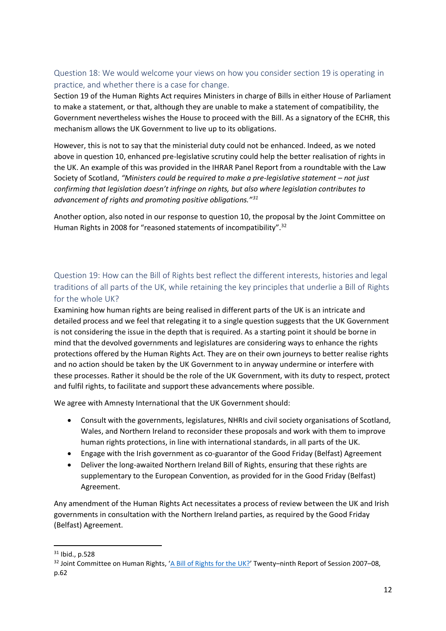#### Question 18: We would welcome your views on how you consider section 19 is operating in practice, and whether there is a case for change.

Section 19 of the Human Rights Act requires Ministers in charge of Bills in either House of Parliament to make a statement, or that, although they are unable to make a statement of compatibility, the Government nevertheless wishes the House to proceed with the Bill. As a signatory of the ECHR, this mechanism allows the UK Government to live up to its obligations.

However, this is not to say that the ministerial duty could not be enhanced. Indeed, as we noted above in question 10, enhanced pre-legislative scrutiny could help the better realisation of rights in the UK. An example of this was provided in the IHRAR Panel Report from a roundtable with the Law Society of Scotland, *"Ministers could be required to make a pre-legislative statement – not just confirming that legislation doesn't infringe on rights, but also where legislation contributes to advancement of rights and promoting positive obligations."<sup>31</sup>*

Another option, also noted in our response to question 10, the proposal by the Joint Committee on Human Rights in 2008 for "reasoned statements of incompatibility".<sup>32</sup>

# Question 19: How can the Bill of Rights best reflect the different interests, histories and legal traditions of all parts of the UK, while retaining the key principles that underlie a Bill of Rights for the whole UK?

Examining how human rights are being realised in different parts of the UK is an intricate and detailed process and we feel that relegating it to a single question suggests that the UK Government is not considering the issue in the depth that is required. As a starting point it should be borne in mind that the devolved governments and legislatures are considering ways to enhance the rights protections offered by the Human Rights Act. They are on their own journeys to better realise rights and no action should be taken by the UK Government to in anyway undermine or interfere with these processes. Rather it should be the role of the UK Government, with its duty to respect, protect and fulfil rights, to facilitate and support these advancements where possible.

We agree with Amnesty International that the UK Government should:

- Consult with the governments, legislatures, NHRIs and civil society organisations of Scotland, Wales, and Northern Ireland to reconsider these proposals and work with them to improve human rights protections, in line with international standards, in all parts of the UK.
- Engage with the Irish government as co-guarantor of the Good Friday (Belfast) Agreement
- Deliver the long-awaited Northern Ireland Bill of Rights, ensuring that these rights are supplementary to the European Convention, as provided for in the Good Friday (Belfast) Agreement.

Any amendment of the Human Rights Act necessitates a process of review between the UK and Irish governments in consultation with the Northern Ireland parties, as required by the Good Friday (Belfast) Agreement.

<sup>31</sup> Ibid., p.528

<sup>&</sup>lt;sup>32</sup> Joint Committee on Human Rights, '[A Bill of Rights for the UK?](https://publications.parliament.uk/pa/jt200708/jtselect/jtrights/165/165i.pdf)' Twenty-ninth Report of Session 2007-08, p.62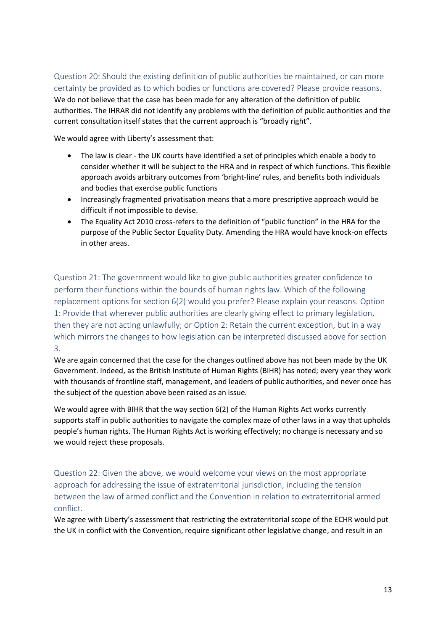#### Question 20: Should the existing definition of public authorities be maintained, or can more certainty be provided as to which bodies or functions are covered? Please provide reasons.

We do not believe that the case has been made for any alteration of the definition of public authorities. The IHRAR did not identify any problems with the definition of public authorities and the current consultation itself states that the current approach is "broadly right".

We would agree with Liberty's assessment that:

- The law is clear the UK courts have identified a set of principles which enable a body to consider whether it will be subject to the HRA and in respect of which functions. This flexible approach avoids arbitrary outcomes from 'bright-line' rules, and benefits both individuals and bodies that exercise public functions
- Increasingly fragmented privatisation means that a more prescriptive approach would be difficult if not impossible to devise.
- The Equality Act 2010 cross-refers to the definition of "public function" in the HRA for the purpose of the Public Sector Equality Duty. Amending the HRA would have knock-on effects in other areas.

Question 21: The government would like to give public authorities greater confidence to perform their functions within the bounds of human rights law. Which of the following replacement options for section 6(2) would you prefer? Please explain your reasons. Option 1: Provide that wherever public authorities are clearly giving effect to primary legislation, then they are not acting unlawfully; or Option 2: Retain the current exception, but in a way which mirrors the changes to how legislation can be interpreted discussed above for section 3.

We are again concerned that the case for the changes outlined above has not been made by the UK Government. Indeed, as the British Institute of Human Rights (BIHR) has noted; every year they work with thousands of frontline staff, management, and leaders of public authorities, and never once has the subject of the question above been raised as an issue.

We would agree with BIHR that the way section 6(2) of the Human Rights Act works currently supports staff in public authorities to navigate the complex maze of other laws in a way that upholds people's human rights. The Human Rights Act is working effectively; no change is necessary and so we would reject these proposals.

Question 22: Given the above, we would welcome your views on the most appropriate approach for addressing the issue of extraterritorial jurisdiction, including the tension between the law of armed conflict and the Convention in relation to extraterritorial armed conflict.

We agree with Liberty's assessment that restricting the extraterritorial scope of the ECHR would put the UK in conflict with the Convention, require significant other legislative change, and result in an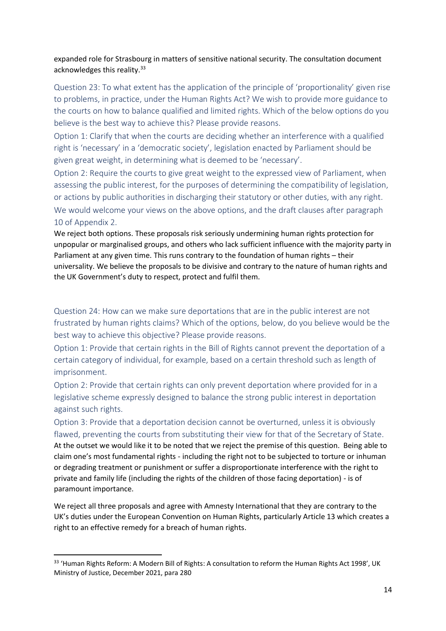#### expanded role for Strasbourg in matters of sensitive national security. The consultation document acknowledges this reality.<sup>33</sup>

Question 23: To what extent has the application of the principle of 'proportionality' given rise to problems, in practice, under the Human Rights Act? We wish to provide more guidance to the courts on how to balance qualified and limited rights. Which of the below options do you believe is the best way to achieve this? Please provide reasons.

Option 1: Clarify that when the courts are deciding whether an interference with a qualified right is 'necessary' in a 'democratic society', legislation enacted by Parliament should be given great weight, in determining what is deemed to be 'necessary'.

Option 2: Require the courts to give great weight to the expressed view of Parliament, when assessing the public interest, for the purposes of determining the compatibility of legislation, or actions by public authorities in discharging their statutory or other duties, with any right.

We would welcome your views on the above options, and the draft clauses after paragraph 10 of Appendix 2.

We reject both options. These proposals risk seriously undermining human rights protection for unpopular or marginalised groups, and others who lack sufficient influence with the majority party in Parliament at any given time. This runs contrary to the foundation of human rights – their universality. We believe the proposals to be divisive and contrary to the nature of human rights and the UK Government's duty to respect, protect and fulfil them.

Question 24: How can we make sure deportations that are in the public interest are not frustrated by human rights claims? Which of the options, below, do you believe would be the best way to achieve this objective? Please provide reasons.

Option 1: Provide that certain rights in the Bill of Rights cannot prevent the deportation of a certain category of individual, for example, based on a certain threshold such as length of imprisonment.

Option 2: Provide that certain rights can only prevent deportation where provided for in a legislative scheme expressly designed to balance the strong public interest in deportation against such rights.

Option 3: Provide that a deportation decision cannot be overturned, unless it is obviously flawed, preventing the courts from substituting their view for that of the Secretary of State. At the outset we would like it to be noted that we reject the premise of this question. Being able to claim one's most fundamental rights - including the right not to be subjected to torture or inhuman or degrading treatment or punishment or suffer a disproportionate interference with the right to private and family life (including the rights of the children of those facing deportation) - is of paramount importance.

We reject all three proposals and agree with Amnesty International that they are contrary to the UK's duties under the European Convention on Human Rights, particularly Article 13 which creates a right to an effective remedy for a breach of human rights.

<sup>&</sup>lt;sup>33</sup> 'Human Rights Reform: A Modern Bill of Rights: A consultation to reform the Human Rights Act 1998', UK Ministry of Justice, December 2021, para 280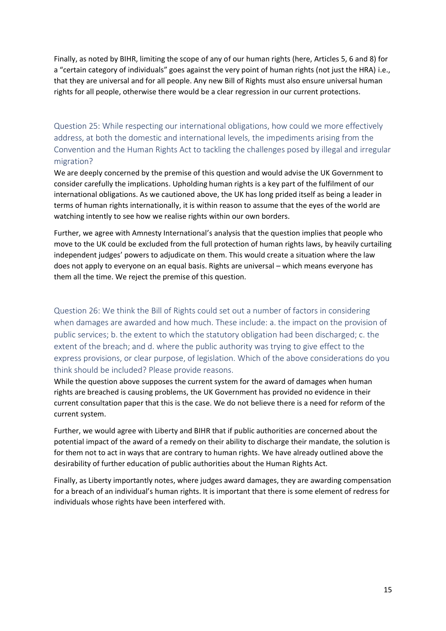Finally, as noted by BIHR, limiting the scope of any of our human rights (here, Articles 5, 6 and 8) for a "certain category of individuals" goes against the very point of human rights (not just the HRA) i.e., that they are universal and for all people. Any new Bill of Rights must also ensure universal human rights for all people, otherwise there would be a clear regression in our current protections.

Question 25: While respecting our international obligations, how could we more effectively address, at both the domestic and international levels, the impediments arising from the Convention and the Human Rights Act to tackling the challenges posed by illegal and irregular migration?

We are deeply concerned by the premise of this question and would advise the UK Government to consider carefully the implications. Upholding human rights is a key part of the fulfilment of our international obligations. As we cautioned above, the UK has long prided itself as being a leader in terms of human rights internationally, it is within reason to assume that the eyes of the world are watching intently to see how we realise rights within our own borders.

Further, we agree with Amnesty International's analysis that the question implies that people who move to the UK could be excluded from the full protection of human rights laws, by heavily curtailing independent judges' powers to adjudicate on them. This would create a situation where the law does not apply to everyone on an equal basis. Rights are universal – which means everyone has them all the time. We reject the premise of this question.

Question 26: We think the Bill of Rights could set out a number of factors in considering when damages are awarded and how much. These include: a. the impact on the provision of public services; b. the extent to which the statutory obligation had been discharged; c. the extent of the breach; and d. where the public authority was trying to give effect to the express provisions, or clear purpose, of legislation. Which of the above considerations do you think should be included? Please provide reasons.

While the question above supposes the current system for the award of damages when human rights are breached is causing problems, the UK Government has provided no evidence in their current consultation paper that this is the case. We do not believe there is a need for reform of the current system.

Further, we would agree with Liberty and BIHR that if public authorities are concerned about the potential impact of the award of a remedy on their ability to discharge their mandate, the solution is for them not to act in ways that are contrary to human rights. We have already outlined above the desirability of further education of public authorities about the Human Rights Act.

Finally, as Liberty importantly notes, where judges award damages, they are awarding compensation for a breach of an individual's human rights. It is important that there is some element of redress for individuals whose rights have been interfered with.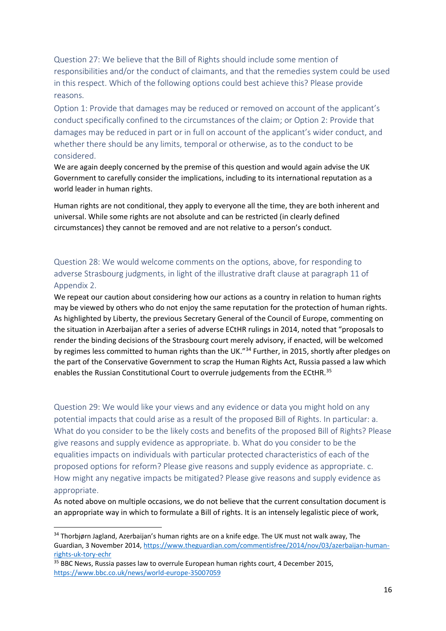Question 27: We believe that the Bill of Rights should include some mention of responsibilities and/or the conduct of claimants, and that the remedies system could be used in this respect. Which of the following options could best achieve this? Please provide reasons.

Option 1: Provide that damages may be reduced or removed on account of the applicant's conduct specifically confined to the circumstances of the claim; or Option 2: Provide that damages may be reduced in part or in full on account of the applicant's wider conduct, and whether there should be any limits, temporal or otherwise, as to the conduct to be considered.

We are again deeply concerned by the premise of this question and would again advise the UK Government to carefully consider the implications, including to its international reputation as a world leader in human rights.

Human rights are not conditional, they apply to everyone all the time, they are both inherent and universal. While some rights are not absolute and can be restricted (in clearly defined circumstances) they cannot be removed and are not relative to a person's conduct.

Question 28: We would welcome comments on the options, above, for responding to adverse Strasbourg judgments, in light of the illustrative draft clause at paragraph 11 of Appendix 2.

We repeat our caution about considering how our actions as a country in relation to human rights may be viewed by others who do not enjoy the same reputation for the protection of human rights. As highlighted by Liberty, the previous Secretary General of the Council of Europe, commenting on the situation in Azerbaijan after a series of adverse ECtHR rulings in 2014, noted that "proposals to render the binding decisions of the Strasbourg court merely advisory, if enacted, will be welcomed by regimes less committed to human rights than the UK."<sup>34</sup> Further, in 2015, shortly after pledges on the part of the Conservative Government to scrap the Human Rights Act, Russia passed a law which enables the Russian Constitutional Court to overrule judgements from the ECtHR.<sup>35</sup>

Question 29: We would like your views and any evidence or data you might hold on any potential impacts that could arise as a result of the proposed Bill of Rights. In particular: a. What do you consider to be the likely costs and benefits of the proposed Bill of Rights? Please give reasons and supply evidence as appropriate. b. What do you consider to be the equalities impacts on individuals with particular protected characteristics of each of the proposed options for reform? Please give reasons and supply evidence as appropriate. c. How might any negative impacts be mitigated? Please give reasons and supply evidence as appropriate.

As noted above on multiple occasions, we do not believe that the current consultation document is an appropriate way in which to formulate a Bill of rights. It is an intensely legalistic piece of work,

<sup>34</sup> Thorbjørn Jagland, Azerbaijan's human rights are on a knife edge. The UK must not walk away, The Guardian, 3 November 2014[, https://www.theguardian.com/commentisfree/2014/nov/03/azerbaijan-human](https://www.theguardian.com/commentisfree/2014/nov/03/azerbaijan-human-rights-uk-tory-echr)[rights-uk-tory-echr](https://www.theguardian.com/commentisfree/2014/nov/03/azerbaijan-human-rights-uk-tory-echr)

<sup>&</sup>lt;sup>35</sup> BBC News, Russia passes law to overrule European human rights court, 4 December 2015, <https://www.bbc.co.uk/news/world-europe-35007059>